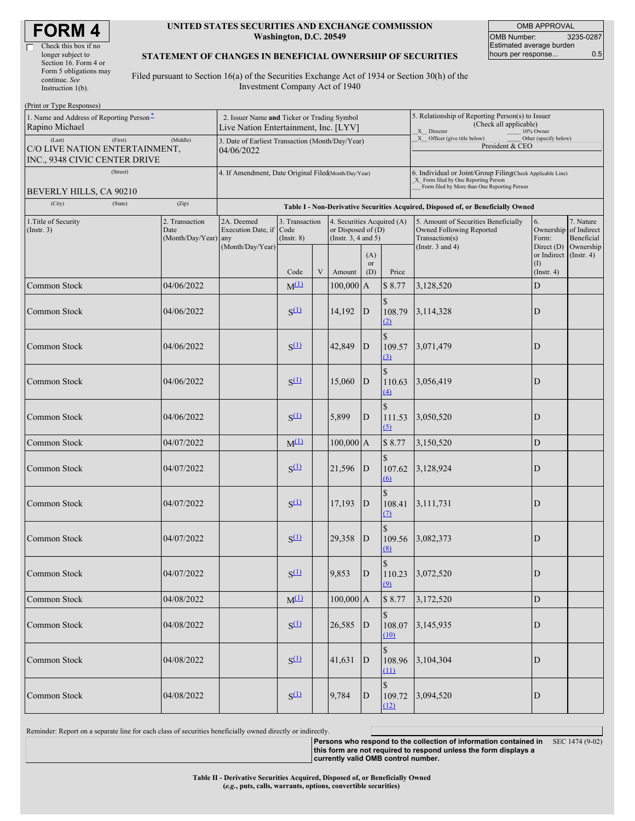| <b>FORM4</b> |  |
|--------------|--|
|--------------|--|

#### **UNITED STATES SECURITIES AND EXCHANGE COMMISSION Washington, D.C. 20549**

OMB APPROVAL OMB Number: 3235-0287 Estimated average burden hours per response... 0.5

#### **STATEMENT OF CHANGES IN BENEFICIAL OWNERSHIP OF SECURITIES**

Filed pursuant to Section 16(a) of the Securities Exchange Act of 1934 or Section 30(h) of the Investment Company Act of 1940

| (Print or Type Responses)                                                                        |                                                                                      |                                                                |                                   |                         |                                                                                |                         |                                                                                                       |                                                                                       |                                                                   |                         |  |  |
|--------------------------------------------------------------------------------------------------|--------------------------------------------------------------------------------------|----------------------------------------------------------------|-----------------------------------|-------------------------|--------------------------------------------------------------------------------|-------------------------|-------------------------------------------------------------------------------------------------------|---------------------------------------------------------------------------------------|-------------------------------------------------------------------|-------------------------|--|--|
| 1. Name and Address of Reporting Person-<br>Rapino Michael                                       | 2. Issuer Name and Ticker or Trading Symbol<br>Live Nation Entertainment, Inc. [LYV] |                                                                |                                   |                         |                                                                                |                         | 5. Relationship of Reporting Person(s) to Issuer<br>(Check all applicable)<br>X Director<br>10% Owner |                                                                                       |                                                                   |                         |  |  |
| (First)<br>(Middle)<br>(Last)<br>C/O LIVE NATION ENTERTAINMENT,<br>INC., 9348 CIVIC CENTER DRIVE |                                                                                      | 3. Date of Earliest Transaction (Month/Day/Year)<br>04/06/2022 |                                   |                         |                                                                                |                         | Other (specify below)<br>X __ Officer (give title below)<br>President & CEO                           |                                                                                       |                                                                   |                         |  |  |
| (Street)                                                                                         |                                                                                      | 4. If Amendment, Date Original Filed(Month/Day/Year)           |                                   |                         |                                                                                |                         |                                                                                                       | 6. Individual or Joint/Group Filing(Check Applicable Line)                            |                                                                   |                         |  |  |
| BEVERLY HILLS, CA 90210                                                                          |                                                                                      |                                                                |                                   |                         |                                                                                |                         |                                                                                                       | X_ Form filed by One Reporting Person<br>Form filed by More than One Reporting Person |                                                                   |                         |  |  |
| (City)<br>(State)                                                                                | (Zip)                                                                                |                                                                |                                   |                         |                                                                                |                         |                                                                                                       |                                                                                       |                                                                   |                         |  |  |
|                                                                                                  |                                                                                      |                                                                |                                   |                         |                                                                                |                         | Table I - Non-Derivative Securities Acquired, Disposed of, or Beneficially Owned                      |                                                                                       |                                                                   |                         |  |  |
| 1. Title of Security<br>(Insert. 3)                                                              | 2. Transaction<br>Date<br>(Month/Day/Year) any                                       | 2A. Deemed<br>Execution Date, if Code                          | 3. Transaction<br>$($ Instr. $8)$ |                         | 4. Securities Acquired (A)<br>or Disposed of $(D)$<br>(Instr. $3, 4$ and $5$ ) |                         |                                                                                                       | 5. Amount of Securities Beneficially<br>Owned Following Reported<br>Transaction(s)    | 6.<br>Ownership of Indirect<br>Form:                              | 7. Nature<br>Beneficial |  |  |
|                                                                                                  |                                                                                      | (Month/Day/Year)                                               | Code                              | $\ensuremath{\text{V}}$ | Amount                                                                         | (A)<br><b>or</b><br>(D) | Price                                                                                                 | (Instr. $3$ and $4$ )                                                                 | Direct $(D)$<br>or Indirect (Instr. 4)<br>(1)<br>$($ Instr. 4 $)$ | Ownership               |  |  |
| Common Stock                                                                                     | 04/06/2022                                                                           |                                                                | $M^{(1)}$                         |                         | $100,000$ A                                                                    |                         | \$8.77                                                                                                | 3,128,520                                                                             | $\mathbf D$                                                       |                         |  |  |
|                                                                                                  |                                                                                      |                                                                |                                   |                         |                                                                                |                         |                                                                                                       |                                                                                       |                                                                   |                         |  |  |
| Common Stock                                                                                     | 04/06/2022                                                                           |                                                                | $S^{(1)}$                         |                         | 14,192                                                                         | $\mathbf D$             | 108.79<br>(2)                                                                                         | 3,114,328                                                                             | D                                                                 |                         |  |  |
| Common Stock                                                                                     | 04/06/2022                                                                           |                                                                | $S^{(1)}$                         |                         | 42,849                                                                         | D                       | $\mathcal{S}$<br>109.57<br>$\Omega$                                                                   | 3,071,479                                                                             | D                                                                 |                         |  |  |
| Common Stock                                                                                     | 04/06/2022                                                                           |                                                                | $S^{(1)}$                         |                         | 15,060                                                                         | $\overline{D}$          | \$<br>110.63<br>(4)                                                                                   | 3,056,419                                                                             | D                                                                 |                         |  |  |
| Common Stock                                                                                     | 04/06/2022                                                                           |                                                                | $S^{(1)}$                         |                         | 5,899                                                                          | D                       | $\hat{\mathbf{S}}$<br>111.53<br>(5)                                                                   | 3,050,520                                                                             | D                                                                 |                         |  |  |
| Common Stock                                                                                     | 04/07/2022                                                                           |                                                                | $M^{(1)}$                         |                         | $100,000$ A                                                                    |                         | \$8.77                                                                                                | 3,150,520                                                                             | D                                                                 |                         |  |  |
| Common Stock                                                                                     | 04/07/2022                                                                           |                                                                | $S^{(1)}$                         |                         | 21,596                                                                         | $\mathbf{D}$            | 107.62<br>$\omega$                                                                                    | 3,128,924                                                                             | D                                                                 |                         |  |  |
| Common Stock                                                                                     | 04/07/2022                                                                           |                                                                | $S^{(1)}$                         |                         | 17,193                                                                         | D                       | 108.41<br>$\Omega$                                                                                    | 3,111,731                                                                             | D                                                                 |                         |  |  |
| Common Stock                                                                                     | 04/07/2022                                                                           |                                                                | $S^{(1)}$                         |                         | 29,358                                                                         | D                       | 109.56<br>(8)                                                                                         | 3,082,373                                                                             | D                                                                 |                         |  |  |
| Common Stock                                                                                     | 04/07/2022                                                                           |                                                                | $S^{(1)}$                         |                         | 9,853                                                                          | $\mathbf{D}$            | $\mathbf S$<br>110.23<br>(9)                                                                          | 3,072,520                                                                             | $\overline{D}$                                                    |                         |  |  |
| Common Stock                                                                                     | 04/08/2022                                                                           |                                                                | $M^{(1)}$                         |                         | $100,000$ A                                                                    |                         | \$8.77                                                                                                | 3,172,520                                                                             | $\mathbf D$                                                       |                         |  |  |
| Common Stock                                                                                     | 04/08/2022                                                                           |                                                                | $S^{(1)}$                         |                         | $26,585$ D                                                                     |                         | $\mathbb{S}$<br>108.07<br>(10)                                                                        | 3,145,935                                                                             | $\mathbf D$                                                       |                         |  |  |
| Common Stock                                                                                     | 04/08/2022                                                                           |                                                                | $S^{(1)}$                         |                         | 41,631                                                                         | $\mathbf{D}$            | $\mathbf{\hat{S}}$<br>108.96<br>(11)                                                                  | 3,104,304                                                                             | ${\bf D}$                                                         |                         |  |  |
| Common Stock                                                                                     | 04/08/2022                                                                           |                                                                | $S^{(1)}$                         |                         | 9,784                                                                          | $\mathbf D$             | $\mathbf S$<br>109.72<br>(12)                                                                         | 3,094,520                                                                             | $\mathbf D$                                                       |                         |  |  |

Reminder: Report on a separate line for each class of securities beneficially owned directly or indirectly.

**Persons who respond to the collection of information contained in** SEC 1474 (9-02) **this form are not required to respond unless the form displays a currently valid OMB control number.**